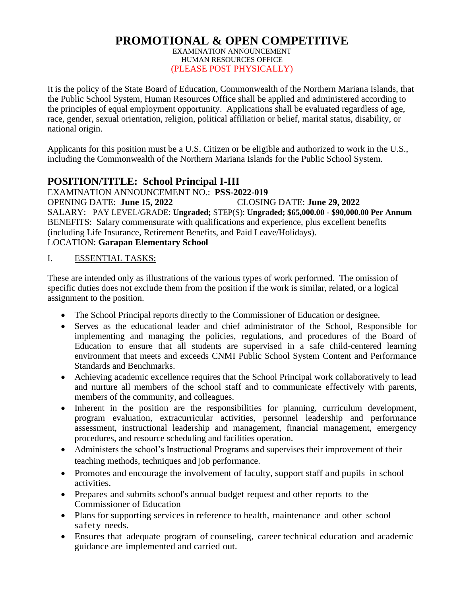#### **PROMOTIONAL & OPEN COMPETITIVE** EXAMINATION ANNOUNCEMENT HUMAN RESOURCES OFFICE (PLEASE POST PHYSICALLY)

It is the policy of the State Board of Education, Commonwealth of the Northern Mariana Islands, that the Public School System, Human Resources Office shall be applied and administered according to the principles of equal employment opportunity. Applications shall be evaluated regardless of age, race, gender, sexual orientation, religion, political affiliation or belief, marital status, disability, or national origin.

Applicants for this position must be a U.S. Citizen or be eligible and authorized to work in the U.S., including the Commonwealth of the Northern Mariana Islands for the Public School System.

# **POSITION/TITLE: School Principal I-III**

EXAMINATION ANNOUNCEMENT NO.: **PSS-2022-019** OPENING DATE: **June 15, 2022** CLOSING DATE: **June 29, 2022** SALARY: PAY LEVEL/GRADE: **Ungraded;** STEP(S): **Ungraded; \$65,000.00 - \$90,000.00 Per Annum** BENEFITS: Salary commensurate with qualifications and experience, plus excellent benefits (including Life Insurance, Retirement Benefits, and Paid Leave/Holidays). LOCATION: **Garapan Elementary School**

#### I. ESSENTIAL TASKS:

These are intended only as illustrations of the various types of work performed. The omission of specific duties does not exclude them from the position if the work is similar, related, or a logical assignment to the position.

- The School Principal reports directly to the Commissioner of Education or designee.
- Serves as the educational leader and chief administrator of the School, Responsible for implementing and managing the policies, regulations, and procedures of the Board of Education to ensure that all students are supervised in a safe child-centered learning environment that meets and exceeds CNMI Public School System Content and Performance Standards and Benchmarks.
- Achieving academic excellence requires that the School Principal work collaboratively to lead and nurture all members of the school staff and to communicate effectively with parents, members of the community, and colleagues.
- Inherent in the position are the responsibilities for planning, curriculum development, program evaluation, extracurricular activities, personnel leadership and performance assessment, instructional leadership and management, financial management, emergency procedures, and resource scheduling and facilities operation.
- Administers the school's Instructional Programs and supervises their improvement of their teaching methods, techniques and job performance.
- Promotes and encourage the involvement of faculty, support staff and pupils in school activities.
- Prepares and submits school's annual budget request and other reports to the Commissioner of Education
- Plans for supporting services in reference to health, maintenance and other school safety needs.
- Ensures that adequate program of counseling, career technical education and academic guidance are implemented and carried out.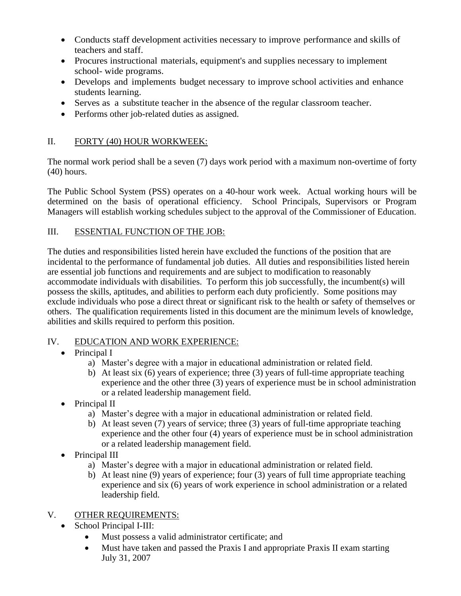- Conducts staff development activities necessary to improve performance and skills of teachers and staff.
- Procures instructional materials, equipment's and supplies necessary to implement school- wide programs.
- Develops and implements budget necessary to improve school activities and enhance students learning.
- Serves as a substitute teacher in the absence of the regular classroom teacher.
- Performs other job-related duties as assigned.

# II. FORTY (40) HOUR WORKWEEK:

The normal work period shall be a seven (7) days work period with a maximum non-overtime of forty (40) hours.

The Public School System (PSS) operates on a 40-hour work week. Actual working hours will be determined on the basis of operational efficiency. School Principals, Supervisors or Program Managers will establish working schedules subject to the approval of the Commissioner of Education.

## III. ESSENTIAL FUNCTION OF THE JOB:

The duties and responsibilities listed herein have excluded the functions of the position that are incidental to the performance of fundamental job duties. All duties and responsibilities listed herein are essential job functions and requirements and are subject to modification to reasonably accommodate individuals with disabilities. To perform this job successfully, the incumbent(s) will possess the skills, aptitudes, and abilities to perform each duty proficiently. Some positions may exclude individuals who pose a direct threat or significant risk to the health or safety of themselves or others. The qualification requirements listed in this document are the minimum levels of knowledge, abilities and skills required to perform this position.

## IV. EDUCATION AND WORK EXPERIENCE:

## • Principal I

- a) Master's degree with a major in educational administration or related field.
- b) At least six  $(6)$  years of experience; three  $(3)$  years of full-time appropriate teaching experience and the other three (3) years of experience must be in school administration or a related leadership management field.
- Principal II
	- a) Master's degree with a major in educational administration or related field.
	- b) At least seven (7) years of service; three (3) years of full-time appropriate teaching experience and the other four (4) years of experience must be in school administration or a related leadership management field.
- Principal III
	- a) Master's degree with a major in educational administration or related field.
	- b) At least nine (9) years of experience; four (3) years of full time appropriate teaching experience and six (6) years of work experience in school administration or a related leadership field.

# V. OTHER REQUIREMENTS:

- School Principal I-III:
	- Must possess a valid administrator certificate; and
	- Must have taken and passed the Praxis I and appropriate Praxis II exam starting July 31, 2007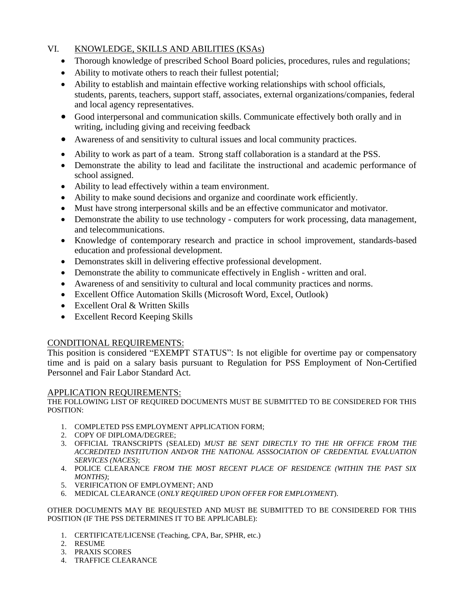#### VI. KNOWLEDGE, SKILLS AND ABILITIES (KSAs)

- Thorough knowledge of prescribed School Board policies, procedures, rules and regulations;
- Ability to motivate others to reach their fullest potential;
- Ability to establish and maintain effective working relationships with school officials, students, parents, teachers, support staff, associates, external organizations/companies, federal and local agency representatives.
- Good interpersonal and communication skills. Communicate effectively both orally and in writing, including giving and receiving feedback
- Awareness of and sensitivity to cultural issues and local community practices.
- Ability to work as part of a team. Strong staff collaboration is a standard at the PSS.
- Demonstrate the ability to lead and facilitate the instructional and academic performance of school assigned.
- Ability to lead effectively within a team environment.
- Ability to make sound decisions and organize and coordinate work efficiently.
- Must have strong interpersonal skills and be an effective communicator and motivator.
- Demonstrate the ability to use technology computers for work processing, data management, and telecommunications.
- Knowledge of contemporary research and practice in school improvement, standards-based education and professional development.
- Demonstrates skill in delivering effective professional development.
- Demonstrate the ability to communicate effectively in English written and oral.
- Awareness of and sensitivity to cultural and local community practices and norms.
- Excellent Office Automation Skills (Microsoft Word, Excel, Outlook)
- Excellent Oral & Written Skills
- Excellent Record Keeping Skills

#### CONDITIONAL REQUIREMENTS:

This position is considered "EXEMPT STATUS": Is not eligible for overtime pay or compensatory time and is paid on a salary basis pursuant to Regulation for PSS Employment of Non-Certified Personnel and Fair Labor Standard Act.

#### APPLICATION REQUIREMENTS:

THE FOLLOWING LIST OF REQUIRED DOCUMENTS MUST BE SUBMITTED TO BE CONSIDERED FOR THIS POSITION:

- 1. COMPLETED PSS EMPLOYMENT APPLICATION FORM;
- 2. COPY OF DIPLOMA/DEGREE;
- 3. OFFICIAL TRANSCRIPTS (SEALED) *MUST BE SENT DIRECTLY TO THE HR OFFICE FROM THE ACCREDITED INSTITUTION AND/OR THE NATIONAL ASSSOCIATION OF CREDENTIAL EVALUATION SERVICES (NACES)*;
- 4. POLICE CLEARANCE *FROM THE MOST RECENT PLACE OF RESIDENCE (WITHIN THE PAST SIX MONTHS)*;
- 5. VERIFICATION OF EMPLOYMENT; AND
- 6. MEDICAL CLEARANCE (*ONLY REQUIRED UPON OFFER FOR EMPLOYMENT*).

OTHER DOCUMENTS MAY BE REQUESTED AND MUST BE SUBMITTED TO BE CONSIDERED FOR THIS POSITION (IF THE PSS DETERMINES IT TO BE APPLICABLE):

- 1. CERTIFICATE/LICENSE (Teaching, CPA, Bar, SPHR, etc.)
- 2. RESUME
- 3. PRAXIS SCORES
- 4. TRAFFICE CLEARANCE